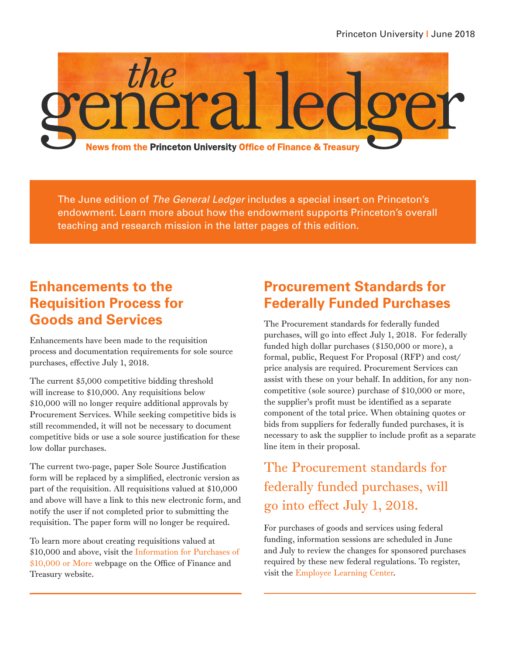

The June edition of *The General Ledger* includes a special insert on Princeton's endowment. Learn more about how the endowment supports Princeton's overall teaching and research mission in the latter pages of this edition.

## **Enhancements to the Requisition Process for Goods and Services**

Enhancements have been made to the requisition process and documentation requirements for sole source purchases, effective July 1, 2018.

The current \$5,000 competitive bidding threshold will increase to \$10,000. Any requisitions below \$10,000 will no longer require additional approvals by Procurement Services. While seeking competitive bids is still recommended, it will not be necessary to document competitive bids or use a sole source justification for these low dollar purchases.

The current two-page, paper Sole Source Justification form will be replaced by a simplified, electronic version as part of the requisition. All requisitions valued at \$10,000 and above will have a link to this new electronic form, and notify the user if not completed prior to submitting the requisition. The paper form will no longer be required.

To learn more about creating requisitions valued at \$10,000 and above, visit the [Information for Purchases of](https://finance.princeton.edu/how-to/buying-paying/buying-paying-overview/information-for-purchases/)  [\\$10,000 or More](https://finance.princeton.edu/how-to/buying-paying/buying-paying-overview/information-for-purchases/) webpage on the Office of Finance and Treasury website.

## **Procurement Standards for Federally Funded Purchases**

The Procurement standards for federally funded purchases, will go into effect July 1, 2018. For federally funded high dollar purchases (\$150,000 or more), a formal, public, Request For Proposal (RFP) and cost/ price analysis are required. Procurement Services can assist with these on your behalf. In addition, for any noncompetitive (sole source) purchase of \$10,000 or more, the supplier's profit must be identified as a separate component of the total price. When obtaining quotes or bids from suppliers for federally funded purchases, it is necessary to ask the supplier to include profit as a separate line item in their proposal.

The Procurement standards for federally funded purchases, will go into effect July 1, 2018.

For purchases of goods and services using federal funding, information sessions are scheduled in June and July to review the changes for sponsored purchases required by these new federal regulations. To register, visit the [Employee Learning Center.](https://putrain.learn.com/learncenter.asp?id=178409&page=101)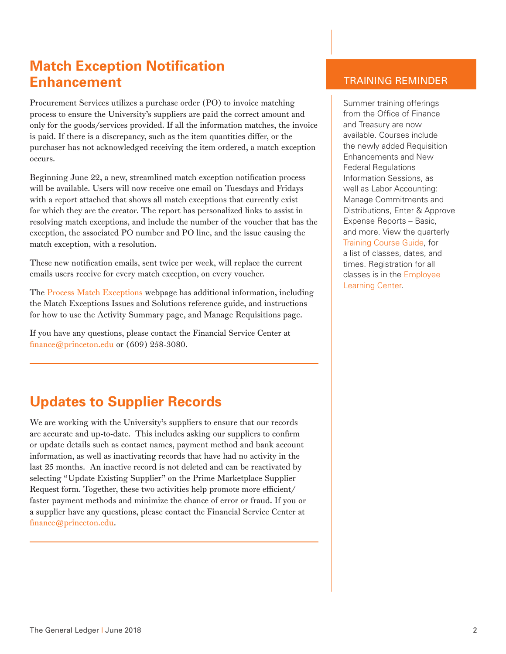## **Match Exception Notification Enhancement**

Procurement Services utilizes a purchase order (PO) to invoice matching process to ensure the University's suppliers are paid the correct amount and only for the goods/services provided. If all the information matches, the invoice is paid. If there is a discrepancy, such as the item quantities differ, or the purchaser has not acknowledged receiving the item ordered, a match exception occurs.

Beginning June 22, a new, streamlined match exception notification process will be available. Users will now receive one email on Tuesdays and Fridays with a report attached that shows all match exceptions that currently exist for which they are the creator. The report has personalized links to assist in resolving match exceptions, and include the number of the voucher that has the exception, the associated PO number and PO line, and the issue causing the match exception, with a resolution.

These new notification emails, sent twice per week, will replace the current emails users receive for every match exception, on every voucher.

The [Process Match Exceptions](https://finance.princeton.edu/how-to/buying-paying/receive-match/process-match-exceptions/index.xml) webpage has additional information, including the Match Exceptions Issues and Solutions reference guide, and instructions for how to use the Activity Summary page, and Manage Requisitions page.

If you have any questions, please contact the Financial Service Center at finance@princeton.edu or (609) 258-3080.

# **Updates to Supplier Records**

We are working with the University's suppliers to ensure that our records are accurate and up-to-date. This includes asking our suppliers to confirm or update details such as contact names, payment method and bank account information, as well as inactivating records that have had no activity in the last 25 months. An inactive record is not deleted and can be reactivated by selecting "Update Existing Supplier" on the Prime Marketplace Supplier Request form. Together, these two activities help promote more efficient/ faster payment methods and minimize the chance of error or fraud. If you or a supplier have any questions, please contact the Financial Service Center at finance@princeton.edu.

#### TRAINING REMINDER

Summer training offerings from the Office of Finance and Treasury are now available. Courses include the newly added Requisition Enhancements and New Federal Regulations Information Sessions, as well as Labor Accounting: Manage Commitments and Distributions, Enter & Approve Expense Reports – Basic, and more. View the quarterly [Training Course Guide,](https://finance.princeton.edu/how-to/prime-information-trainin/getting-started/Training_newsletter.pdf) for a list of classes, dates, and times. Registration for all classes is in the [Employee](https://putrain.learn.com/learncenter.asp?id=178409&page=77)  [Learning Center.](https://putrain.learn.com/learncenter.asp?id=178409&page=77)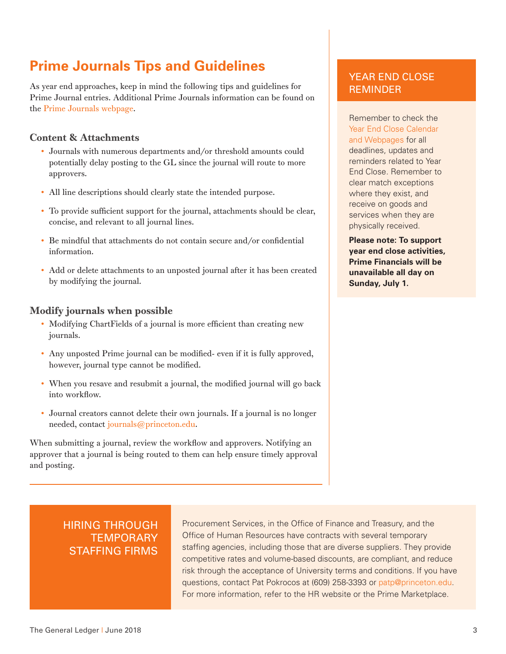## **Prime Journals Tips and Guidelines**

As year end approaches, keep in mind the following tips and guidelines for Prime Journal entries. Additional Prime Journals information can be found on the [Prime Journals webpage](https://finance.princeton.edu/how-to/financial-management/journals/prime-journal-page/).

#### Content & Attachments

- Journals with numerous departments and/or threshold amounts could potentially delay posting to the GL since the journal will route to more approvers.
- All line descriptions should clearly state the intended purpose.
- To provide sufficient support for the journal, attachments should be clear, concise, and relevant to all journal lines.
- Be mindful that attachments do not contain secure and/or confidential information.
- Add or delete attachments to an unposted journal after it has been created by modifying the journal.

#### Modify journals when possible

- Modifying ChartFields of a journal is more efficient than creating new journals.
- Any unposted Prime journal can be modified- even if it is fully approved, however, journal type cannot be modified.
- When you resave and resubmit a journal, the modified journal will go back into workflow.
- Journal creators cannot delete their own journals. If a journal is no longer needed, contact journals@princeton.edu.

When submitting a journal, review the workflow and approvers. Notifying an approver that a journal is being routed to them can help ensure timely approval and posting.

#### YEAR END CLOSE REMINDER

Remember to check the [Year End Close Calendar](https://finance.princeton.edu/how-to/financial-management/year-end-close/year-end-close-calendar-t/index.xml)  [and Webpages](https://finance.princeton.edu/how-to/financial-management/year-end-close/year-end-close-calendar-t/index.xml) for all deadlines, updates and reminders related to Year End Close. Remember to clear match exceptions where they exist, and receive on goods and services when they are physically received.

**Please note: To support year end close activities, Prime Financials will be unavailable all day on Sunday, July 1.**

#### HIRING THROUGH **TEMPORARY** STAFFING FIRMS

Procurement Services, in the Office of Finance and Treasury, and the Office of Human Resources have contracts with several temporary staffing agencies, including those that are diverse suppliers. They provide competitive rates and volume-based discounts, are compliant, and reduce risk through the acceptance of University terms and conditions. If you have questions, contact Pat Pokrocos at (609) 258-3393 or patp@princeton.edu. For more information, refer to the HR website or the Prime Marketplace.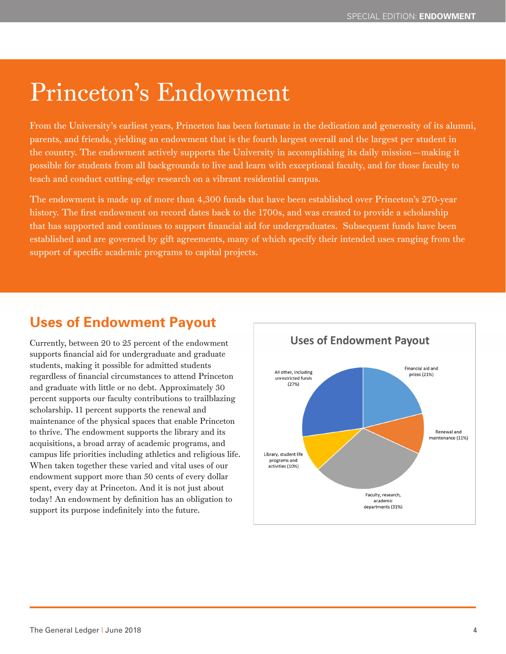# Princeton's Endowment

From the University's earliest years, Princeton has been fortunate in the dedication and generosity of its alumni, parents, and friends, yielding an endowment that is the fourth largest overall and the largest per student in the country. The endowment actively supports the University in accomplishing its daily mission—making it possible for students from all backgrounds to live and learn with exceptional faculty, and for those faculty to teach and conduct cutting-edge research on a vibrant residential campus.

The endowment is made up of more than 4,300 funds that have been established over Princeton's 270-year history. The first endowment on record dates back to the 1700s, and was created to provide a scholarship that has supported and continues to support financial aid for undergraduates. Subsequent funds have been established and are governed by gift agreements, many of which specify their intended uses ranging from the support of specific academic programs to capital projects.

# **Uses of Endowment Payout**

Currently, between 20 to 25 percent of the endowment supports financial aid for undergraduate and graduate students, making it possible for admitted students regardless of financial circumstances to attend Princeton and graduate with little or no debt. Approximately 30 percent supports our faculty contributions to trailblazing scholarship. 11 percent supports the renewal and maintenance of the physical spaces that enable Princeton to thrive. The endowment supports the library and its acquisitions, a broad array of academic programs, and campus life priorities including athletics and religious life. When taken together these varied and vital uses of our endowment support more than 50 cents of every dollar spent, every day at Princeton. And it is not just about today! An endowment by definition has an obligation to support its purpose indefinitely into the future.

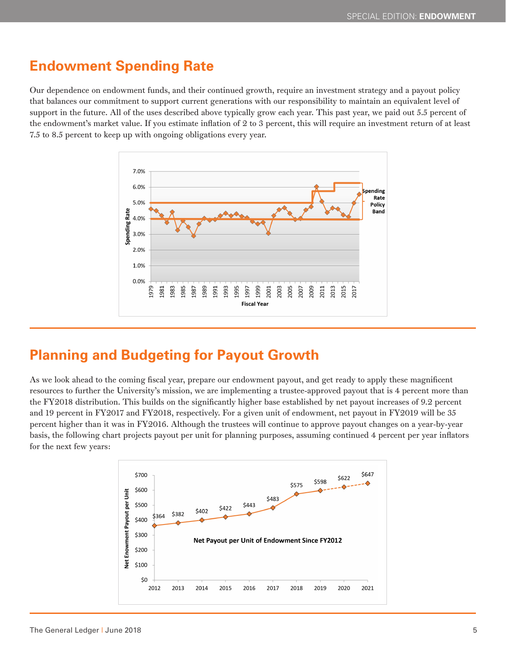## **Endowment Spending Rate**

Our dependence on endowment funds, and their continued growth, require an investment strategy and a payout policy that balances our commitment to support current generations with our responsibility to maintain an equivalent level of support in the future. All of the uses described above typically grow each year. This past year, we paid out 5.5 percent of the endowment's market value. If you estimate inflation of 2 to 3 percent, this will require an investment return of at least 7.5 to 8.5 percent to keep up with ongoing obligations every year.



## **Planning and Budgeting for Payout Growth**

As we look ahead to the coming fiscal year, prepare our endowment payout, and get ready to apply these magnificent resources to further the University's mission, we are implementing a trustee-approved payout that is 4 percent more than the FY2018 distribution. This builds on the significantly higher base established by net payout increases of 9.2 percent and 19 percent in FY2017 and FY2018, respectively. For a given unit of endowment, net payout in FY2019 will be 35 percent higher than it was in FY2016. Although the trustees will continue to approve payout changes on a year-by-year basis, the following chart projects payout per unit for planning purposes, assuming continued 4 percent per year inflators for the next few years: